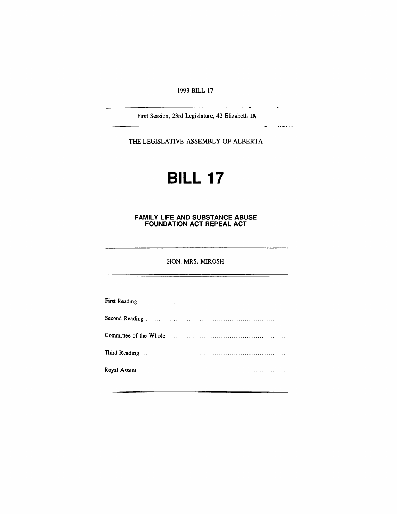1993 BILL 17

First Session, 23rd Legislature, 42 Elizabeth IN

 $\overline{\phantom{a}}$ 

THE LEGISLATIVE ASSEMBLY OF ALBERTA

# **BILL 17**

## **FAMILY LIFE AND SUBSTANCE ABUSE FOUNDATION ACT REPEAL ACT**

## HON. MRS. MIROSH

| Royal Assent <b>contract and the Contract of Assembly</b> |  |
|-----------------------------------------------------------|--|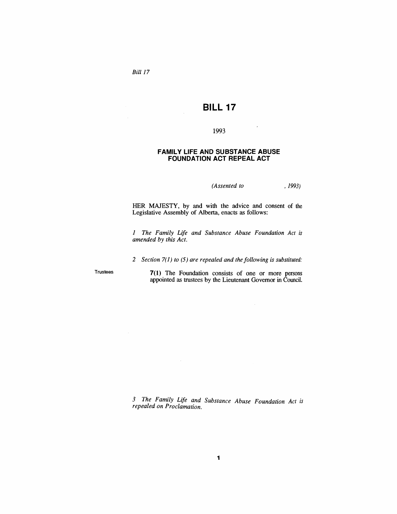Bill 17

## **BILL 17**

## 1993

### **FAMILY LIFE AND SUBSTANCE ABUSE FOUNDATION ACT REPEAL ACT**

*(Assented to* , 1993)

HER MAJESTY, by and with the advice and consent of the Legislative Assembly of Alberta, enacts as follows:

*1 The Family Life and Substance Abuse Foundation Act is amended by this Act.*

*2 Section* 7(1) *to* (5) *are repealed and the following is substituted:*

Trustees

**7(1)** The Foundation consists of one or more persons appointed as trustees by the Lieutenant Governor in Council.

*3 The Family Life and Substance Abuse Foundation Act is repealed on Proclamation.*